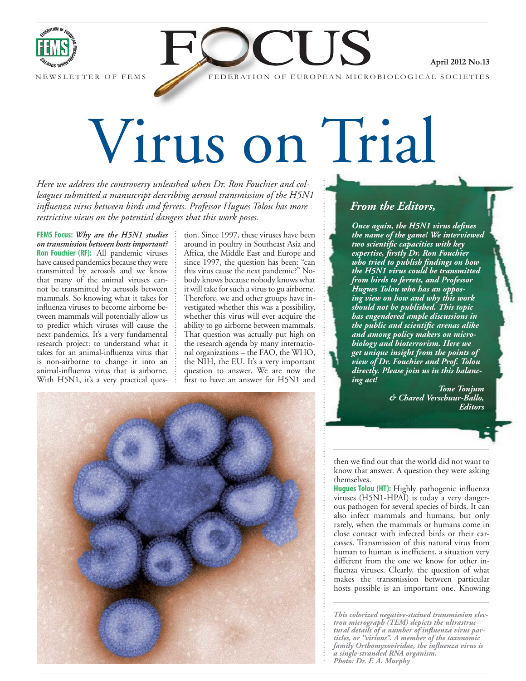

NEWSLETTER O

FEDERATION OF EUROPEAN MICROBIOLOGICAL SOCIETIES

TIS

# Virus on Trial

*Here we address the controversy unleashed when Dr. Ron Fouchier and colleagues submitted a manuscript describing aerosol transmission of the H5N1 influenza virus between birds and ferrets. Professor Hugues Tolou has more restrictive views on the potential dangers that this work poses.*

**FEMS Focus:** *Why are the H5N1 studies on transmission between hosts important?* **Ron Fouchier (RF):** All pandemic viruses have caused pandemics because they were transmitted by aerosols and we know that many of the animal viruses cannot be transmitted by aerosols between mammals. So knowing what it takes for influenza viruses to become airborne between mammals will potentially allow us to predict which viruses will cause the next pandemics. It's a very fundamental research project: to understand what it takes for an animal-influenza virus that is non-airborne to change it into an animal-influenza virus that is airborne. With H5N1, it's a very practical question. Since 1997, these viruses have been around in poultry in Southeast Asia and Africa, the Middle East and Europe and since 1997, the question has been: "can this virus cause the next pandemic?" Nobody knows because nobody knows what it will take for such a virus to go airborne. Therefore, we and other groups have investigated whether this was a possibility, whether this virus will ever acquire the ability to go airborne between mammals. That question was actually put high on the research agenda by many international organizations – the FAO, the WHO, the NIH, the EU. It's a very important question to answer. We are now the first to have an answer for H5N1 and



# *From the Editors,*

*Once again, the H5N1 virus defines the name of the game! We interviewed two scientific capacities with key expertise, firstly Dr. Ron Fouchier who tried to publish findings on how the H5N1 virus could be transmitted from birds to ferrets, and Professor Hugues Tolou who has an opposing view on how and why this work should not be published. This topic has engendered ample discussions in the public and scientific arenas alike and among policy makers on microbiology and bioterrorism. Here we get unique insight from the points of view of Dr. Fouchier and Prof. Tolou directly. Please join us in this balancing act!*

> *Tone Tonjum & Chared Verschuur-Ballo, Editors*

April 2012 No.13

then we find out that the world did not want to know that answer. A question they were asking themselves.

**Hugues Tolou (HT):** Highly pathogenic influenza viruses (H5N1-HPAI) is today a very dangerous pathogen for several species of birds. It can also infect mammals and humans, but only rarely, when the mammals or humans come in close contact with infected birds or their carcasses. Transmission of this natural virus from human to human is inefficient, a situation very different from the one we know for other influenza viruses. Clearly, the question of what makes the transmission between particular hosts possible is an important one. Knowing

*This colorized negative-stained transmission electron micrograph (TEM) depicts the ultrastructural details of a number of influenza virus particles, or "virions". A member of the taxonomic family Orthomyxoviridae, the influenza virus is a single-stranded RNA organism. Photo: Dr. F. A. Murphy*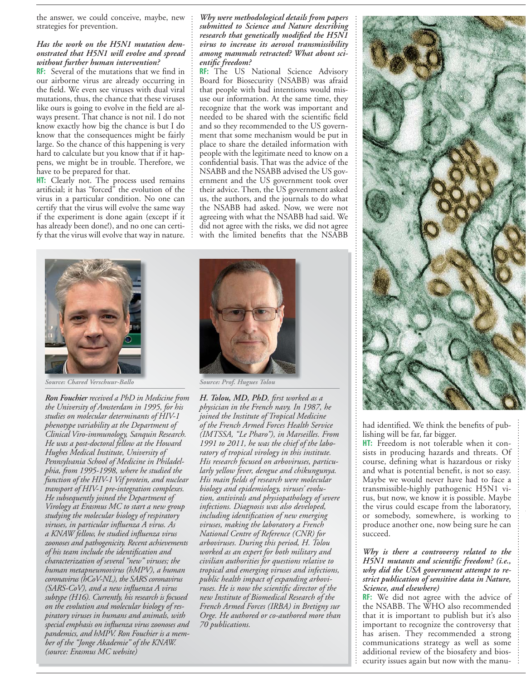the answer, we could conceive, maybe, new strategies for prevention.

#### *Has the work on the H5N1 mutation demonstrated that H5N1 will evolve and spread without further human intervention?*

**RF:** Several of the mutations that we find in our airborne virus are already occurring in the field. We even see viruses with dual viral mutations, thus, the chance that these viruses like ours is going to evolve in the field are always present. That chance is not nil. I do not know exactly how big the chance is but I do know that the consequences might be fairly large. So the chance of this happening is very hard to calculate but you know that if it happens, we might be in trouble. Therefore, we have to be prepared for that.

**HT:** Clearly not. The process used remains artificial; it has "forced" the evolution of the virus in a particular condition. No one can certify that the virus will evolve the same way if the experiment is done again (except if it has already been done!), and no one can certify that the virus will evolve that way in nature.

*Why were methodological details from papers submitted to Science and Nature describing research that genetically modified the H5N1 virus to increase its aerosol transmissibility among mammals retracted? What about scientific freedom?*

**RF:** The US National Science Advisory Board for Biosecurity (NSABB) was afraid that people with bad intentions would misuse our information. At the same time, they recognize that the work was important and needed to be shared with the scientific field and so they recommended to the US government that some mechanism would be put in place to share the detailed information with people with the legitimate need to know on a confidential basis. That was the advice of the NSABB and the NSABB advised the US government and the US government took over their advice. Then, the US government asked us, the authors, and the journals to do what the NSABB had asked. Now, we were not agreeing with what the NSABB had said. We did not agree with the risks, we did not agree with the limited benefits that the NSABB



*Source: Chared Verschuur-Ballo* 

*Ron Fouchier received a PhD in Medicine from the University of Amsterdam in 1995, for his studies on molecular determinants of HIV-1 phenotype variability at the Department of Clinical Viro-immunology, Sanquin Research. He was a post-doctoral fellow at the Howard Hughes Medical Institute, University of Pennsylvania School of Medicine in Philadelphia, from 1995-1998, where he studied the function of the HIV-1 Vif protein, and nuclear transport of HIV-1 pre-integration complexes. He subsequently joined the Department of Virology at Erasmus MC to start a new group studying the molecular biology of respiratory viruses, in particular influenza A virus. As a KNAW fellow, he studied influenza virus zoonoses and pathogenicity. Recent achievements of his team include the identification and characterization of several "new" viruses; the human metapneumovirus (hMPV), a human coronavirus (hCoV-NL), the SARS coronavirus (SARS-CoV), and a new influenza A virus subtype (H16). Currently, his research is focused on the evolution and molecular biology of respiratory viruses in humans and animals, with special emphasis on influenza virus zoonoses and pandemics, and hMPV. Ron Fouchier is a member of the "Jonge Akademie" of the KNAW. (source: Erasmus MC website)*



*Source: Prof. Hugues Tolou* 

*H. Tolou, MD, PhD, first worked as a physician in the French navy. In 1987, he joined the Institute of Tropical Medicine of the French Armed Forces Health Service (IMTSSA, "Le Pharo"), in Marseilles. From 1991 to 2011, he was the chief of the laboratory of tropical virology in this institute. His research focused on arboviruses, particularly yellow fever, dengue and chikungunya. His main fields of research were molecular biology and epidemiology, viruses' evolution, antivirals and physiopathology of severe infections. Diagnosis was also developed, including identification of new emerging viruses, making the laboratory a French National Centre of Reference (CNR) for arboviruses. During this period, H. Tolou worked as an expert for both military and civilian authorities for questions relative to tropical and emerging viruses and infections, public health impact of expanding arboviruses. He is now the scientific director of the new Institute of Biomedical Research of the French Armed Forces (IRBA) in Bretigny sur Orge. He authored or co-authored more than 70 publications.*



had identified. We think the benefits of publishing will be far, far bigger.

**HT:** Freedom is not tolerable when it consists in producing hazards and threats. Of course, defining what is hazardous or risky and what is potential benefit, is not so easy. Maybe we would never have had to face a transmissible-highly pathogenic H5N1 virus, but now, we know it is possible. Maybe the virus could escape from the laboratory, or somebody, somewhere, is working to produce another one, now being sure he can succeed.

## *Why is there a controversy related to the H5N1 mutants and scientific freedom? (i.e., why did the USA government attempt to restrict publication of sensitive data in Nature, Science, and elsewhere)*

**RF:** We did not agree with the advice of the NSABB. The WHO also recommended that it is important to publish but it's also important to recognize the controversy that has arisen. They recommended a strong communications strategy as well as some additional review of the biosafety and biosecurity issues again but now with the manu-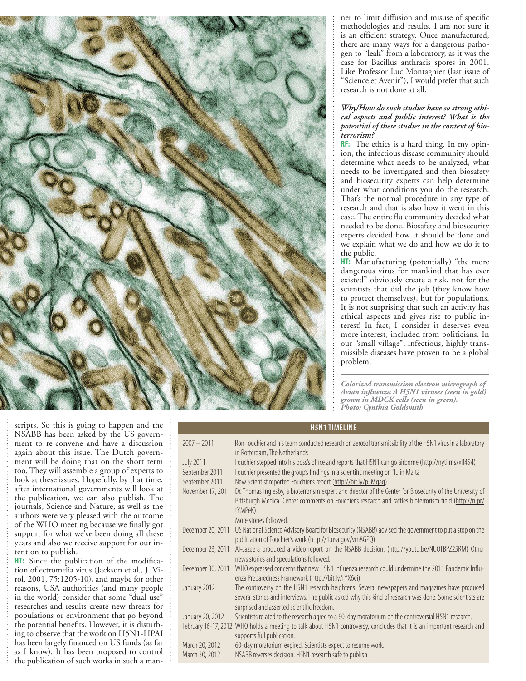

ner to limit diffusion and misuse of specific methodologies and results. I am not sure it is an efficient strategy. Once manufactured, there are many ways for a dangerous pathogen to "leak" from a laboratory, as it was the case for Bacillus anthracis spores in 2001. Like Professor Luc Montagnier (last issue of "Science et Avenir"), I would prefer that such research is not done at all.

#### *Why/How do such studies have so strong ethical aspects and public interest? What is the potential of these studies in the context of bioterrorism?*

**RF:** The ethics is a hard thing. In my opinion, the infectious disease community should determine what needs to be analyzed, what needs to be investigated and then biosafety and biosecurity experts can help determine under what conditions you do the research. That's the normal procedure in any type of research and that is also how it went in this case. The entire flu community decided what needed to be done. Biosafety and biosecurity experts decided how it should be done and we explain what we do and how we do it to the public.

**HT:** Manufacturing (potentially) "the more dangerous virus for mankind that has ever existed" obviously create a risk, not for the scientists that did the job (they know how to protect themselves), but for populations. It is not surprising that such an activity has ethical aspects and gives rise to public interest! In fact, I consider it deserves even more interest, included from politicians. In our "small village", infectious, highly transmissible diseases have proven to be a global problem.

*Colorized transmission electron micrograph of Avian influenza A H5N1 viruses (seen in gold) grown in MDCK cells (seen in green). Photo: Cynthia Goldsmith*

scripts. So this is going to happen and the NSABB has been asked by the US government to re-convene and have a discussion again about this issue. The Dutch government will be doing that on the short term too. They will assemble a group of experts to look at these issues. Hopefully, by that time, after international governments will look at the publication, we can also publish. The journals, Science and Nature, as well as the authors were very pleased with the outcome of the WHO meeting because we finally got support for what we've been doing all these years and also we receive support for our intention to publish.

**HT:** Since the publication of the modification of ectromelia virus (Jackson et al., J. Virol. 2001, 75:1205-10), and maybe for other reasons, USA authorities (and many people in the world) consider that some "dual use" researches and results create new threats for populations or environment that go beyond the potential benefits. However, it is disturbing to observe that the work on H5N1-HPAI has been largely financed on US funds (as far as I know). It has been proposed to control the publication of such works in such a man-

| <b>H5N1 TIMELINE</b> |                                                                                                                                                                                                                                  |
|----------------------|----------------------------------------------------------------------------------------------------------------------------------------------------------------------------------------------------------------------------------|
| $2007 - 2011$        | Ron Fouchier and his team conducted research on aerosol transmissibility of the H5N1 virus in a laboratory                                                                                                                       |
|                      | in Rotterdam, The Netherlands                                                                                                                                                                                                    |
| <b>July 2011</b>     | Fouchier stepped into his boss's office and reports that H5N1 can go airborne (http://nyti.ms/xlf454)                                                                                                                            |
| September 2011       | Fouchier presented the group's findings in a scientific meeting on flu in Malta                                                                                                                                                  |
| September 2011       | New Scientist reported Fouchier's report (http://bit.ly/pLMgag)                                                                                                                                                                  |
| November 17, 2011    | Dr. Thomas Inglesby, a bioterrorism expert and director of the Center for Biosecurity of the University of<br>Pittsburgh Medical Center comments on Fouchier's research and rattles bioterrorism field (http://n.pr/<br>tYMPeK). |
|                      | More stories followed.                                                                                                                                                                                                           |
| December 20, 2011    | US National Science Advisory Board for Biosecurity (NSABB) advised the government to put a stop on the<br>publication of Fouchier's work (http://1.usa.gov/vm8GPQ)                                                               |
| December 23, 2011    | Al-Jazeera produced a video report on the NSABB decision. (http://youtu.be/NUOTBPZ25RM) Other<br>news stories and speculations followed.                                                                                         |
| December 30, 2011    | WHO expressed concerns that new H5N1 influenza research could undermine the 2011 Pandemic Influ-<br>enza Preparedness Framework (http://bit.ly/rYX6ei)                                                                           |
| January 2012         | The controversy on the H5N1 research heightens. Several newspapers and magazines have produced<br>several stories and interviews. The public asked why this kind of research was done. Some scientists are                       |
|                      | surprised and asserted scientific freedom.                                                                                                                                                                                       |
| January 20, 2012     | Scientists related to the research agree to a 60-day moratorium on the controversial H5N1 research.                                                                                                                              |
| February 16-17, 2012 | WHO holds a meeting to talk about H5N1 controversy, concludes that it is an important research and<br>supports full publication.                                                                                                 |
| March 20, 2012       | 60-day moratorium expired. Scientists expect to resume work.                                                                                                                                                                     |
| March 30, 2012       | NSABB reverses decision. H5N1 research safe to publish.                                                                                                                                                                          |